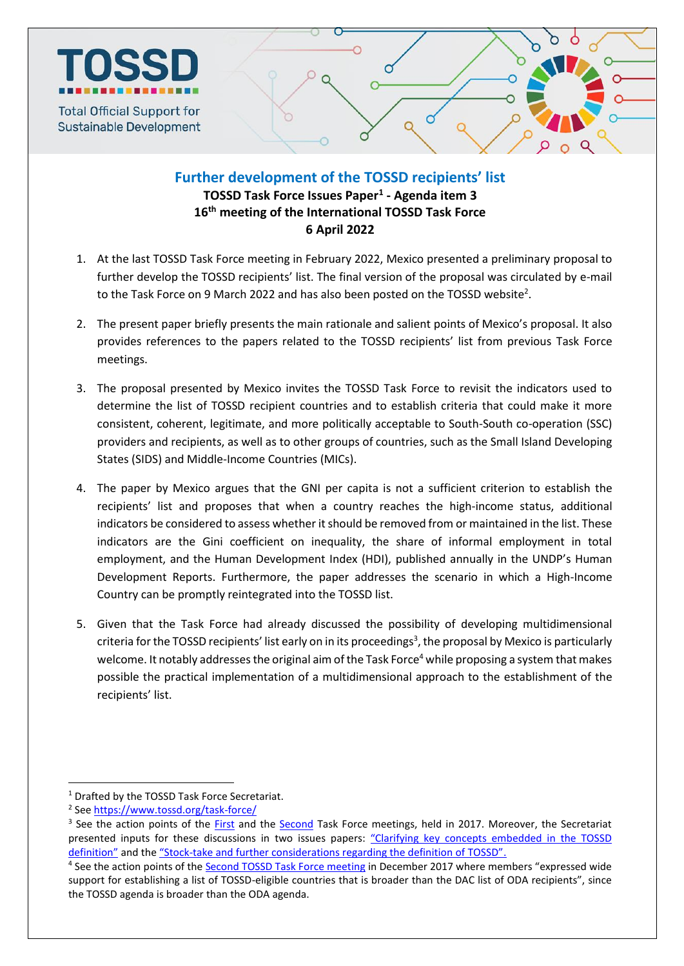

## **Further development of the TOSSD recipients' list**

**TOSSD Task Force Issues Paper<sup>1</sup> - Agenda item 3 16 th meeting of the International TOSSD Task Force 6 April 2022**

- 1. At the last TOSSD Task Force meeting in February 2022, Mexico presented a preliminary proposal to further develop the TOSSD recipients' list. The final version of the proposal was circulated by e-mail to the Task Force on 9 March 2022 and has also been posted on the TOSSD website<sup>2</sup>.
- 2. The present paper briefly presents the main rationale and salient points of Mexico's proposal. It also provides references to the papers related to the TOSSD recipients' list from previous Task Force meetings.
- 3. The proposal presented by Mexico invites the TOSSD Task Force to revisit the indicators used to determine the list of TOSSD recipient countries and to establish criteria that could make it more consistent, coherent, legitimate, and more politically acceptable to South-South co-operation (SSC) providers and recipients, as well as to other groups of countries, such as the Small Island Developing States (SIDS) and Middle-Income Countries (MICs).
- 4. The paper by Mexico argues that the GNI per capita is not a sufficient criterion to establish the recipients' list and proposes that when a country reaches the high-income status, additional indicators be considered to assess whether it should be removed from or maintained in the list. These indicators are the Gini coefficient on inequality, the share of informal employment in total employment, and the Human Development Index (HDI), published annually in the UNDP's Human Development Reports. Furthermore, the paper addresses the scenario in which a High-Income Country can be promptly reintegrated into the TOSSD list.
- 5. Given that the Task Force had already discussed the possibility of developing multidimensional criteria for the TOSSD recipients' list early on in its proceedings<sup>3</sup>, the proposal by Mexico is particularly welcome. It notably addresses the original aim of the Task Force<sup>4</sup> while proposing a system that makes possible the practical implementation of a multidimensional approach to the establishment of the recipients' list.

 $\overline{a}$ 

<sup>&</sup>lt;sup>1</sup> Drafted by the TOSSD Task Force Secretariat.

<sup>&</sup>lt;sup>2</sup> See<https://www.tossd.org/task-force/>

<sup>&</sup>lt;sup>3</sup> See the action points of the *First* and the [Second](https://tossd.org/docs/TOSSD-Third-Task-Force-Action-Points.pdf) Task Force meetings, held in 2017. Moreover, the Secretariat presented inputs for these discussions in two issues papers: "Clarifying key concepts embedded in the TOSSD [definition"](https://tossd.org/docs/Clarifying-key-concepts-embedded-in-the-TOSSD-definition.pdf) and the "Stock-[take and further considerations regarding the definition of TOSSD"](https://tossd.org/docs/TOSSD-Item-3-Stock-take-and-considerations-on-the-definition-of-TOSSD.pdf).

<sup>&</sup>lt;sup>4</sup> See the action points of the **Second TOSSD Task Force meeting** in December 2017 where members "expressed wide support for establishing a list of TOSSD-eligible countries that is broader than the DAC list of ODA recipients", since the TOSSD agenda is broader than the ODA agenda.